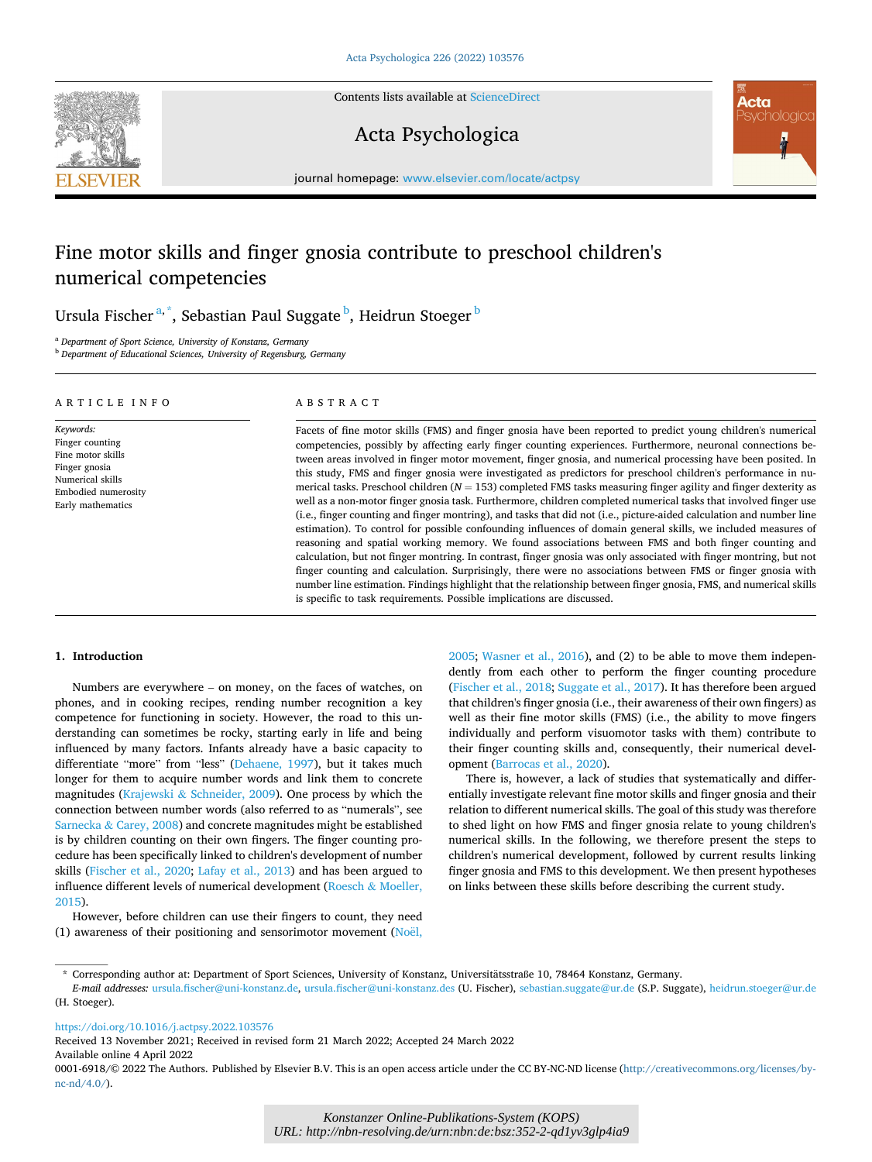

Contents lists available at [ScienceDirect](www.sciencedirect.com/science/journal/00016918)

# Acta Psychologica



journal homepage: [www.elsevier.com/locate/actpsy](https://www.elsevier.com/locate/actpsy)

# Fine motor skills and finger gnosia contribute to preschool children's numerical competencies

Ursula Fischer $^{\mathrm{a},\mathrm{*}}$ , Sebastian Paul Suggate $^{\mathrm{b}}$ , Heidrun Stoeger $^{\mathrm{b}}$ 

<sup>a</sup> *Department of Sport Science, University of Konstanz, Germany* 

<sup>b</sup> *Department of Educational Sciences, University of Regensburg, Germany* 

| ARTICLE INFO                                                                                                                       | ABSTRACT                                                                                                                                                                                                                                                                                                                                                                                                                                                                                                                                                                                                                                                                                                                                                                                                                                                                                                                                                                                                                                                                                                                                                                                                                                                                                                                                                                                                             |
|------------------------------------------------------------------------------------------------------------------------------------|----------------------------------------------------------------------------------------------------------------------------------------------------------------------------------------------------------------------------------------------------------------------------------------------------------------------------------------------------------------------------------------------------------------------------------------------------------------------------------------------------------------------------------------------------------------------------------------------------------------------------------------------------------------------------------------------------------------------------------------------------------------------------------------------------------------------------------------------------------------------------------------------------------------------------------------------------------------------------------------------------------------------------------------------------------------------------------------------------------------------------------------------------------------------------------------------------------------------------------------------------------------------------------------------------------------------------------------------------------------------------------------------------------------------|
| Keywords:<br>Finger counting<br>Fine motor skills<br>Finger gnosia<br>Numerical skills<br>Embodied numerosity<br>Early mathematics | Facets of fine motor skills (FMS) and finger gnosia have been reported to predict young children's numerical<br>competencies, possibly by affecting early finger counting experiences. Furthermore, neuronal connections be-<br>tween areas involved in finger motor movement, finger gnosia, and numerical processing have been posited. In<br>this study, FMS and finger gnosia were investigated as predictors for preschool children's performance in nu-<br>merical tasks. Preschool children ( $N = 153$ ) completed FMS tasks measuring finger agility and finger dexterity as<br>well as a non-motor finger gnosia task. Furthermore, children completed numerical tasks that involved finger use<br>(i.e., finger counting and finger montring), and tasks that did not (i.e., picture-aided calculation and number line<br>estimation). To control for possible confounding influences of domain general skills, we included measures of<br>reasoning and spatial working memory. We found associations between FMS and both finger counting and<br>calculation, but not finger montring. In contrast, finger gnosia was only associated with finger montring, but not<br>finger counting and calculation. Surprisingly, there were no associations between FMS or finger gnosia with<br>number line estimation. Findings highlight that the relationship between finger gnosia, FMS, and numerical skills |

is specific to task requirements. Possible implications are discussed.

# **1. Introduction**

Numbers are everywhere – on money, on the faces of watches, on phones, and in cooking recipes, rending number recognition a key competence for functioning in society. However, the road to this understanding can sometimes be rocky, starting early in life and being influenced by many factors. Infants already have a basic capacity to differentiate "more" from "less" [\(Dehaene, 1997](#page-8-0)), but it takes much longer for them to acquire number words and link them to concrete magnitudes (Krajewski  $&$  [Schneider, 2009](#page-8-0)). One process by which the connection between number words (also referred to as "numerals", see Sarnecka & [Carey, 2008\)](#page-9-0) and concrete magnitudes might be established is by children counting on their own fingers. The finger counting procedure has been specifically linked to children's development of number skills [\(Fischer et al., 2020](#page-8-0); [Lafay et al., 2013\)](#page-8-0) and has been argued to influence different levels of numerical development (Roesch & [Moeller,](#page-8-0)  [2015\)](#page-8-0).

However, before children can use their fingers to count, they need (1) awareness of their positioning and sensorimotor movement [\(No](#page-8-0)ël,

[2005;](#page-8-0) [Wasner et al., 2016](#page-9-0)), and (2) to be able to move them independently from each other to perform the finger counting procedure ([Fischer et al., 2018;](#page-8-0) [Suggate et al., 2017](#page-9-0)). It has therefore been argued that children's finger gnosia (i.e., their awareness of their own fingers) as well as their fine motor skills (FMS) (i.e., the ability to move fingers individually and perform visuomotor tasks with them) contribute to their finger counting skills and, consequently, their numerical development ([Barrocas et al., 2020\)](#page-7-0).

There is, however, a lack of studies that systematically and differentially investigate relevant fine motor skills and finger gnosia and their relation to different numerical skills. The goal of this study was therefore to shed light on how FMS and finger gnosia relate to young children's numerical skills. In the following, we therefore present the steps to children's numerical development, followed by current results linking finger gnosia and FMS to this development. We then present hypotheses on links between these skills before describing the current study.

<https://doi.org/10.1016/j.actpsy.2022.103576>

Available online 4 April 2022 Received 13 November 2021; Received in revised form 21 March 2022; Accepted 24 March 2022

<sup>\*</sup> Corresponding author at: Department of Sport Sciences, University of Konstanz, Universitätsstraße 10, 78464 Konstanz, Germany.

*E-mail addresses:* [ursula.fischer@uni-konstanz.de,](mailto:ursula.fischer@uni-konstanz.de) [ursula.fischer@uni-konstanz.des](mailto:ursula.fischer@uni-konstanz.des) (U. Fischer), [sebastian.suggate@ur.de](mailto:sebastian.suggate@ur.de) (S.P. Suggate), [heidrun.stoeger@ur.de](mailto:heidrun.stoeger@ur.de)  (H. Stoeger).

<sup>0001-6918/© 2022</sup> The Authors. Published by Elsevier B.V. This is an open access article under the CC BY-NC-ND license([http://creativecommons.org/licenses/by](http://creativecommons.org/licenses/by-nc-nd/4.0/)[nc-nd/4.0/](http://creativecommons.org/licenses/by-nc-nd/4.0/)).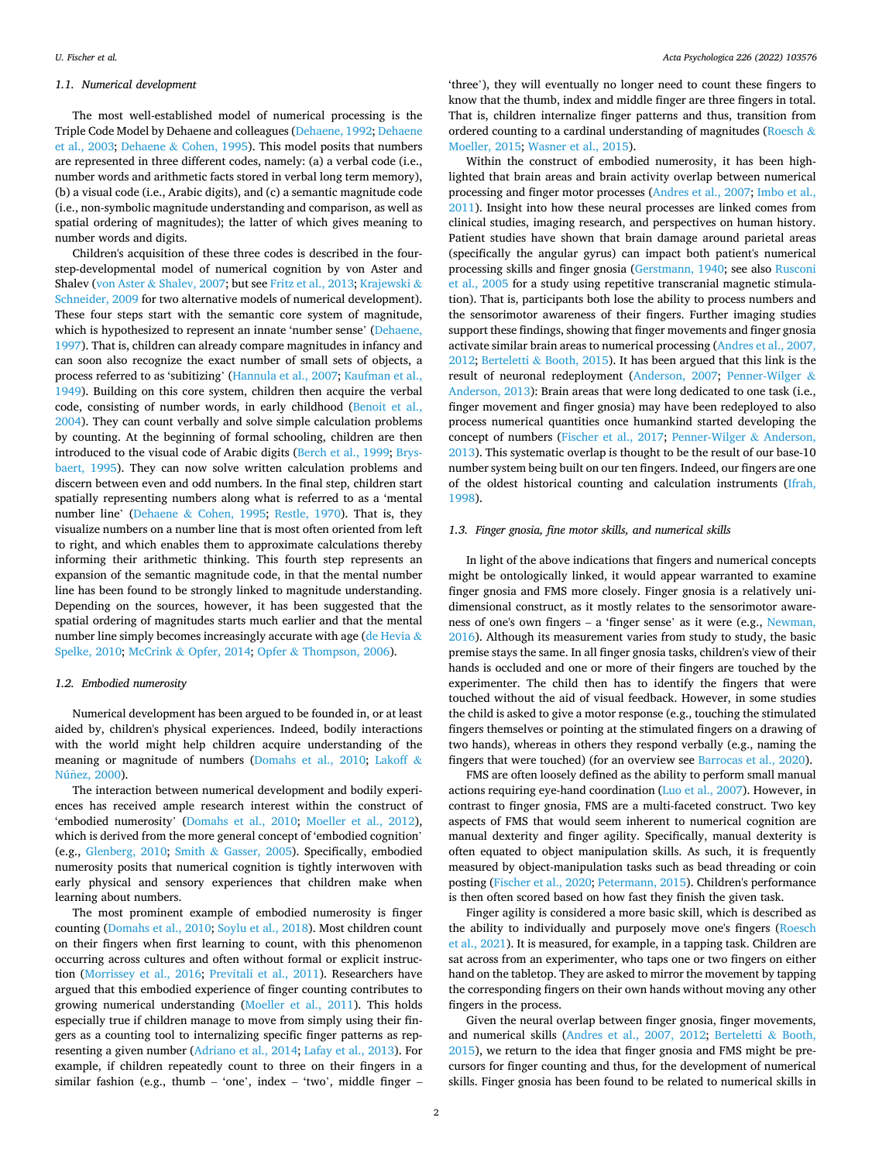### *1.1. Numerical development*

The most well-established model of numerical processing is the Triple Code Model by Dehaene and colleagues [\(Dehaene, 1992](#page-8-0); [Dehaene](#page-8-0)  [et al., 2003](#page-8-0); Dehaene & [Cohen, 1995](#page-8-0)). This model posits that numbers are represented in three different codes, namely: (a) a verbal code (i.e., number words and arithmetic facts stored in verbal long term memory), (b) a visual code (i.e., Arabic digits), and (c) a semantic magnitude code (i.e., non-symbolic magnitude understanding and comparison, as well as spatial ordering of magnitudes); the latter of which gives meaning to number words and digits.

Children's acquisition of these three codes is described in the fourstep-developmental model of numerical cognition by von Aster and Shalev (von Aster & [Shalev, 2007](#page-9-0); but see [Fritz et al., 2013; Krajewski](#page-8-0) & [Schneider, 2009](#page-8-0) for two alternative models of numerical development). These four steps start with the semantic core system of magnitude, which is hypothesized to represent an innate 'number sense' [\(Dehaene,](#page-8-0)  [1997\)](#page-8-0). That is, children can already compare magnitudes in infancy and can soon also recognize the exact number of small sets of objects, a process referred to as 'subitizing' ([Hannula et al., 2007; Kaufman et al.,](#page-8-0)  [1949\)](#page-8-0). Building on this core system, children then acquire the verbal code, consisting of number words, in early childhood [\(Benoit et al.,](#page-7-0)  [2004\)](#page-7-0). They can count verbally and solve simple calculation problems by counting. At the beginning of formal schooling, children are then introduced to the visual code of Arabic digits [\(Berch et al., 1999](#page-7-0); [Brys](#page-8-0)[baert, 1995\)](#page-8-0). They can now solve written calculation problems and discern between even and odd numbers. In the final step, children start spatially representing numbers along what is referred to as a 'mental number line' (Dehaene & [Cohen, 1995;](#page-8-0) [Restle, 1970\)](#page-8-0). That is, they visualize numbers on a number line that is most often oriented from left to right, and which enables them to approximate calculations thereby informing their arithmetic thinking. This fourth step represents an expansion of the semantic magnitude code, in that the mental number line has been found to be strongly linked to magnitude understanding. Depending on the sources, however, it has been suggested that the spatial ordering of magnitudes starts much earlier and that the mental number line simply becomes increasingly accurate with age ([de Hevia](#page-8-0)  $\&$ [Spelke, 2010](#page-8-0); McCrink & [Opfer, 2014](#page-8-0); Opfer & [Thompson, 2006](#page-8-0)).

# *1.2. Embodied numerosity*

Numerical development has been argued to be founded in, or at least aided by, children's physical experiences. Indeed, bodily interactions with the world might help children acquire understanding of the meaning or magnitude of numbers ([Domahs et al., 2010;](#page-8-0) [Lakoff](#page-8-0) & Núñez, 2000).

The interaction between numerical development and bodily experiences has received ample research interest within the construct of 'embodied numerosity' ([Domahs et al., 2010](#page-8-0); [Moeller et al., 2012](#page-8-0)), which is derived from the more general concept of 'embodied cognition' (e.g., [Glenberg, 2010](#page-8-0); Smith & [Gasser, 2005\)](#page-9-0). Specifically, embodied numerosity posits that numerical cognition is tightly interwoven with early physical and sensory experiences that children make when learning about numbers.

The most prominent example of embodied numerosity is finger counting ([Domahs et al., 2010](#page-8-0); [Soylu et al., 2018\)](#page-9-0). Most children count on their fingers when first learning to count, with this phenomenon occurring across cultures and often without formal or explicit instruction ([Morrissey et al., 2016;](#page-8-0) [Previtali et al., 2011](#page-8-0)). Researchers have argued that this embodied experience of finger counting contributes to growing numerical understanding [\(Moeller et al., 2011\)](#page-8-0). This holds especially true if children manage to move from simply using their fingers as a counting tool to internalizing specific finger patterns as representing a given number ([Adriano et al., 2014](#page-7-0); [Lafay et al., 2013](#page-8-0)). For example, if children repeatedly count to three on their fingers in a similar fashion (e.g., thumb – 'one', index – 'two', middle finger –

'three'), they will eventually no longer need to count these fingers to know that the thumb, index and middle finger are three fingers in total. That is, children internalize finger patterns and thus, transition from ordered counting to a cardinal understanding of magnitudes [\(Roesch](#page-8-0) & [Moeller, 2015](#page-8-0); [Wasner et al., 2015\)](#page-9-0).

Within the construct of embodied numerosity, it has been highlighted that brain areas and brain activity overlap between numerical processing and finger motor processes [\(Andres et al., 2007;](#page-7-0) [Imbo et al.,](#page-8-0)  [2011\)](#page-8-0). Insight into how these neural processes are linked comes from clinical studies, imaging research, and perspectives on human history. Patient studies have shown that brain damage around parietal areas (specifically the angular gyrus) can impact both patient's numerical processing skills and finger gnosia ([Gerstmann, 1940;](#page-8-0) see also [Rusconi](#page-9-0)  [et al., 2005](#page-9-0) for a study using repetitive transcranial magnetic stimulation). That is, participants both lose the ability to process numbers and the sensorimotor awareness of their fingers. Further imaging studies support these findings, showing that finger movements and finger gnosia activate similar brain areas to numerical processing [\(Andres et al., 2007,](#page-7-0)  [2012;](#page-7-0) Berteletti & [Booth, 2015\)](#page-8-0). It has been argued that this link is the result of neuronal redeployment ([Anderson, 2007;](#page-7-0) [Penner-Wilger](#page-8-0) & [Anderson, 2013](#page-8-0)): Brain areas that were long dedicated to one task (i.e., finger movement and finger gnosia) may have been redeployed to also process numerical quantities once humankind started developing the concept of numbers ([Fischer et al., 2017;](#page-8-0) [Penner-Wilger](#page-8-0) & Anderson, [2013\)](#page-8-0). This systematic overlap is thought to be the result of our base-10 number system being built on our ten fingers. Indeed, our fingers are one of the oldest historical counting and calculation instruments [\(Ifrah,](#page-8-0)  [1998\)](#page-8-0).

## *1.3. Finger gnosia, fine motor skills, and numerical skills*

In light of the above indications that fingers and numerical concepts might be ontologically linked, it would appear warranted to examine finger gnosia and FMS more closely. Finger gnosia is a relatively unidimensional construct, as it mostly relates to the sensorimotor awareness of one's own fingers – a 'finger sense' as it were (e.g., [Newman,](#page-8-0)  [2016\)](#page-8-0). Although its measurement varies from study to study, the basic premise stays the same. In all finger gnosia tasks, children's view of their hands is occluded and one or more of their fingers are touched by the experimenter. The child then has to identify the fingers that were touched without the aid of visual feedback. However, in some studies the child is asked to give a motor response (e.g., touching the stimulated fingers themselves or pointing at the stimulated fingers on a drawing of two hands), whereas in others they respond verbally (e.g., naming the fingers that were touched) (for an overview see [Barrocas et al., 2020](#page-7-0)).

FMS are often loosely defined as the ability to perform small manual actions requiring eye-hand coordination ([Luo et al., 2007](#page-8-0)). However, in contrast to finger gnosia, FMS are a multi-faceted construct. Two key aspects of FMS that would seem inherent to numerical cognition are manual dexterity and finger agility. Specifically, manual dexterity is often equated to object manipulation skills. As such, it is frequently measured by object-manipulation tasks such as bead threading or coin posting [\(Fischer et al., 2020](#page-8-0); [Petermann, 2015\)](#page-8-0). Children's performance is then often scored based on how fast they finish the given task.

Finger agility is considered a more basic skill, which is described as the ability to individually and purposely move one's fingers ([Roesch](#page-8-0)  [et al., 2021](#page-8-0)). It is measured, for example, in a tapping task. Children are sat across from an experimenter, who taps one or two fingers on either hand on the tabletop. They are asked to mirror the movement by tapping the corresponding fingers on their own hands without moving any other fingers in the process.

Given the neural overlap between finger gnosia, finger movements, and numerical skills [\(Andres et al., 2007, 2012](#page-7-0); [Berteletti](#page-8-0) & Booth, [2015\)](#page-8-0), we return to the idea that finger gnosia and FMS might be precursors for finger counting and thus, for the development of numerical skills. Finger gnosia has been found to be related to numerical skills in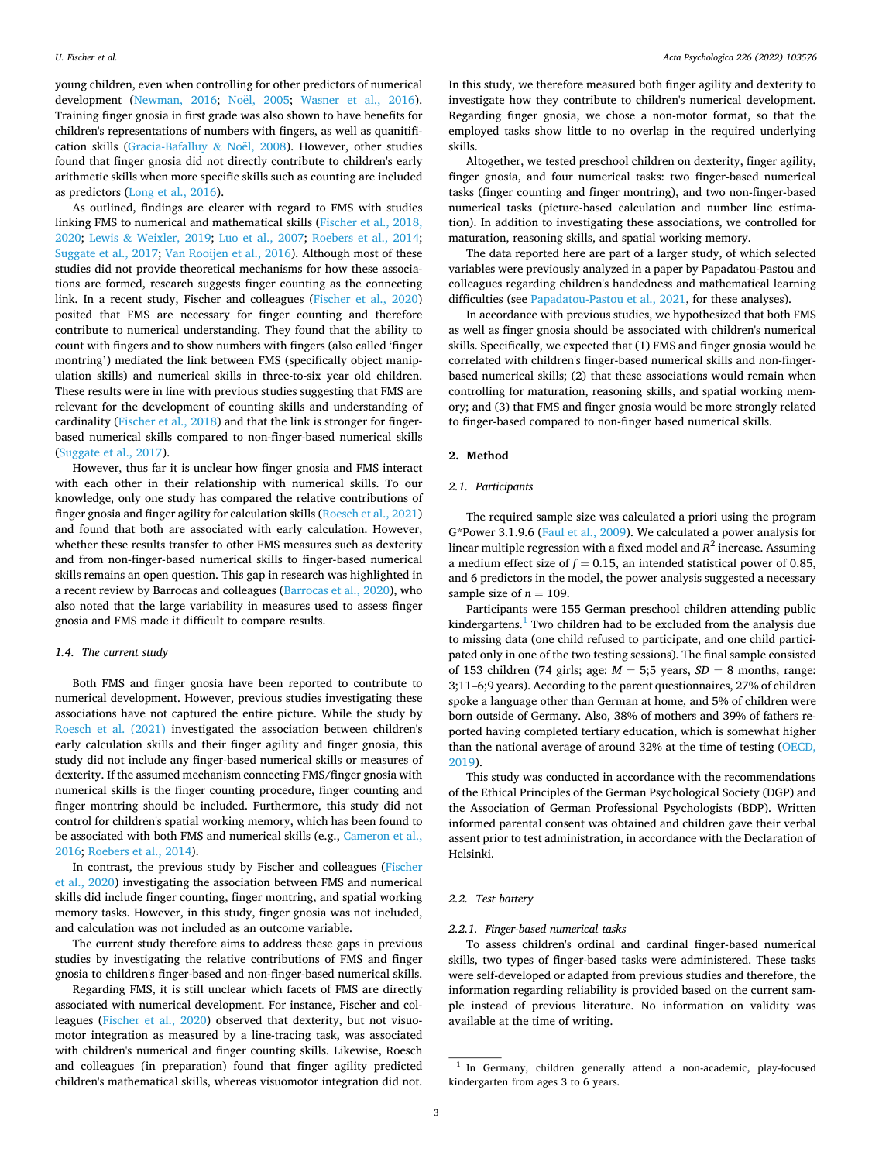young children, even when controlling for other predictors of numerical development ([Newman, 2016](#page-8-0); Noël, 2005; [Wasner et al., 2016](#page-9-0)). Training finger gnosia in first grade was also shown to have benefits for children's representations of numbers with fingers, as well as quanitifi-cation skills [\(Gracia-Bafalluy](#page-8-0) & Noël, 2008). However, other studies found that finger gnosia did not directly contribute to children's early arithmetic skills when more specific skills such as counting are included as predictors [\(Long et al., 2016\)](#page-8-0).

As outlined, findings are clearer with regard to FMS with studies linking FMS to numerical and mathematical skills ([Fischer et al., 2018,](#page-8-0)  [2020;](#page-8-0) Lewis & [Weixler, 2019](#page-8-0); [Luo et al., 2007;](#page-8-0) [Roebers et al., 2014](#page-8-0); [Suggate et al., 2017](#page-9-0); [Van Rooijen et al., 2016\)](#page-9-0). Although most of these studies did not provide theoretical mechanisms for how these associations are formed, research suggests finger counting as the connecting link. In a recent study, Fischer and colleagues [\(Fischer et al., 2020\)](#page-8-0) posited that FMS are necessary for finger counting and therefore contribute to numerical understanding. They found that the ability to count with fingers and to show numbers with fingers (also called 'finger montring') mediated the link between FMS (specifically object manipulation skills) and numerical skills in three-to-six year old children. These results were in line with previous studies suggesting that FMS are relevant for the development of counting skills and understanding of cardinality ([Fischer et al., 2018](#page-8-0)) and that the link is stronger for fingerbased numerical skills compared to non-finger-based numerical skills ([Suggate et al., 2017\)](#page-9-0).

However, thus far it is unclear how finger gnosia and FMS interact with each other in their relationship with numerical skills. To our knowledge, only one study has compared the relative contributions of finger gnosia and finger agility for calculation skills [\(Roesch et al., 2021\)](#page-8-0) and found that both are associated with early calculation. However, whether these results transfer to other FMS measures such as dexterity and from non-finger-based numerical skills to finger-based numerical skills remains an open question. This gap in research was highlighted in a recent review by Barrocas and colleagues ([Barrocas et al., 2020](#page-7-0)), who also noted that the large variability in measures used to assess finger gnosia and FMS made it difficult to compare results.

### *1.4. The current study*

Both FMS and finger gnosia have been reported to contribute to numerical development. However, previous studies investigating these associations have not captured the entire picture. While the study by [Roesch et al. \(2021\)](#page-8-0) investigated the association between children's early calculation skills and their finger agility and finger gnosia, this study did not include any finger-based numerical skills or measures of dexterity. If the assumed mechanism connecting FMS/finger gnosia with numerical skills is the finger counting procedure, finger counting and finger montring should be included. Furthermore, this study did not control for children's spatial working memory, which has been found to be associated with both FMS and numerical skills (e.g., [Cameron et al.,](#page-8-0)  [2016; Roebers et al., 2014\)](#page-8-0).

In contrast, the previous study by Fischer and colleagues [\(Fischer](#page-8-0)  [et al., 2020](#page-8-0)) investigating the association between FMS and numerical skills did include finger counting, finger montring, and spatial working memory tasks. However, in this study, finger gnosia was not included, and calculation was not included as an outcome variable.

The current study therefore aims to address these gaps in previous studies by investigating the relative contributions of FMS and finger gnosia to children's finger-based and non-finger-based numerical skills.

Regarding FMS, it is still unclear which facets of FMS are directly associated with numerical development. For instance, Fischer and colleagues [\(Fischer et al., 2020](#page-8-0)) observed that dexterity, but not visuomotor integration as measured by a line-tracing task, was associated with children's numerical and finger counting skills. Likewise, Roesch and colleagues (in preparation) found that finger agility predicted children's mathematical skills, whereas visuomotor integration did not.

In this study, we therefore measured both finger agility and dexterity to investigate how they contribute to children's numerical development. Regarding finger gnosia, we chose a non-motor format, so that the employed tasks show little to no overlap in the required underlying skills.

Altogether, we tested preschool children on dexterity, finger agility, finger gnosia, and four numerical tasks: two finger-based numerical tasks (finger counting and finger montring), and two non-finger-based numerical tasks (picture-based calculation and number line estimation). In addition to investigating these associations, we controlled for maturation, reasoning skills, and spatial working memory.

The data reported here are part of a larger study, of which selected variables were previously analyzed in a paper by Papadatou-Pastou and colleagues regarding children's handedness and mathematical learning difficulties (see [Papadatou-Pastou et al., 2021,](#page-8-0) for these analyses).

In accordance with previous studies, we hypothesized that both FMS as well as finger gnosia should be associated with children's numerical skills. Specifically, we expected that (1) FMS and finger gnosia would be correlated with children's finger-based numerical skills and non-fingerbased numerical skills; (2) that these associations would remain when controlling for maturation, reasoning skills, and spatial working memory; and (3) that FMS and finger gnosia would be more strongly related to finger-based compared to non-finger based numerical skills.

### **2. Method**

### *2.1. Participants*

The required sample size was calculated a priori using the program G\*Power 3.1.9.6 [\(Faul et al., 2009\)](#page-8-0). We calculated a power analysis for linear multiple regression with a fixed model and  $R^2$  increase. Assuming a medium effect size of  $f = 0.15$ , an intended statistical power of 0.85, and 6 predictors in the model, the power analysis suggested a necessary sample size of  $n = 109$ .

Participants were 155 German preschool children attending public kindergartens.<sup>1</sup> Two children had to be excluded from the analysis due to missing data (one child refused to participate, and one child participated only in one of the two testing sessions). The final sample consisted of 153 children (74 girls; age:  $M = 5.5$  years,  $SD = 8$  months, range: 3;11–6;9 years). According to the parent questionnaires, 27% of children spoke a language other than German at home, and 5% of children were born outside of Germany. Also, 38% of mothers and 39% of fathers reported having completed tertiary education, which is somewhat higher than the national average of around 32% at the time of testing [\(OECD,](#page-8-0)  [2019\)](#page-8-0).

This study was conducted in accordance with the recommendations of the Ethical Principles of the German Psychological Society (DGP) and the Association of German Professional Psychologists (BDP). Written informed parental consent was obtained and children gave their verbal assent prior to test administration, in accordance with the Declaration of Helsinki.

# *2.2. Test battery*

### *2.2.1. Finger-based numerical tasks*

To assess children's ordinal and cardinal finger-based numerical skills, two types of finger-based tasks were administered. These tasks were self-developed or adapted from previous studies and therefore, the information regarding reliability is provided based on the current sample instead of previous literature. No information on validity was available at the time of writing.

 $^{\rm 1}$  In Germany, children generally attend a non-academic, play-focused kindergarten from ages 3 to 6 years.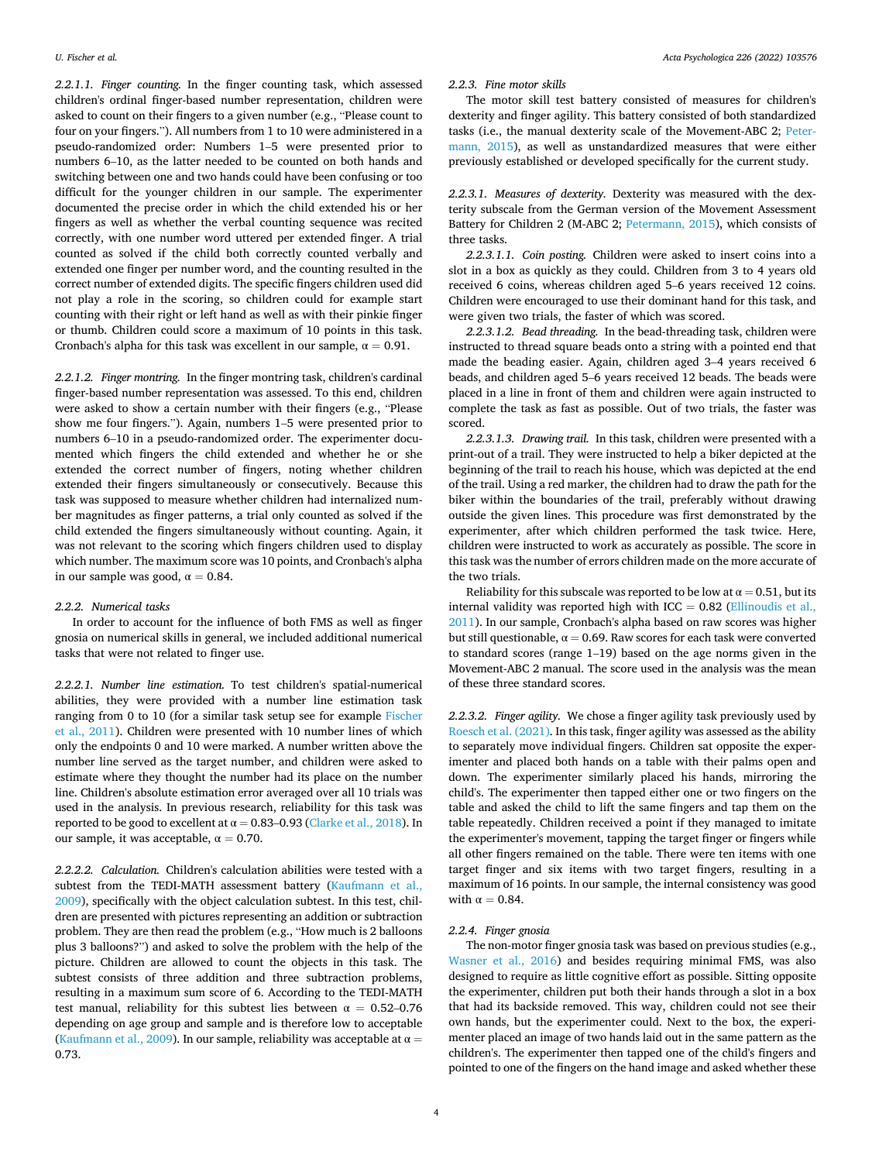*2.2.1.1. Finger counting.* In the finger counting task, which assessed children's ordinal finger-based number representation, children were asked to count on their fingers to a given number (e.g., "Please count to four on your fingers."). All numbers from 1 to 10 were administered in a pseudo-randomized order: Numbers 1–5 were presented prior to numbers 6–10, as the latter needed to be counted on both hands and switching between one and two hands could have been confusing or too difficult for the younger children in our sample. The experimenter documented the precise order in which the child extended his or her fingers as well as whether the verbal counting sequence was recited correctly, with one number word uttered per extended finger. A trial counted as solved if the child both correctly counted verbally and extended one finger per number word, and the counting resulted in the correct number of extended digits. The specific fingers children used did not play a role in the scoring, so children could for example start counting with their right or left hand as well as with their pinkie finger or thumb. Children could score a maximum of 10 points in this task. Cronbach's alpha for this task was excellent in our sample,  $\alpha = 0.91$ .

*2.2.1.2. Finger montring.* In the finger montring task, children's cardinal finger-based number representation was assessed. To this end, children were asked to show a certain number with their fingers (e.g., "Please show me four fingers."). Again, numbers 1–5 were presented prior to numbers 6–10 in a pseudo-randomized order. The experimenter documented which fingers the child extended and whether he or she extended the correct number of fingers, noting whether children extended their fingers simultaneously or consecutively. Because this task was supposed to measure whether children had internalized number magnitudes as finger patterns, a trial only counted as solved if the child extended the fingers simultaneously without counting. Again, it was not relevant to the scoring which fingers children used to display which number. The maximum score was 10 points, and Cronbach's alpha in our sample was good,  $\alpha = 0.84$ .

## *2.2.2. Numerical tasks*

In order to account for the influence of both FMS as well as finger gnosia on numerical skills in general, we included additional numerical tasks that were not related to finger use.

*2.2.2.1. Number line estimation.* To test children's spatial-numerical abilities, they were provided with a number line estimation task ranging from 0 to 10 (for a similar task setup see for example [Fischer](#page-8-0)  [et al., 2011\)](#page-8-0). Children were presented with 10 number lines of which only the endpoints 0 and 10 were marked. A number written above the number line served as the target number, and children were asked to estimate where they thought the number had its place on the number line. Children's absolute estimation error averaged over all 10 trials was used in the analysis. In previous research, reliability for this task was reported to be good to excellent at  $\alpha = 0.83 - 0.93$  [\(Clarke et al., 2018\)](#page-8-0). In our sample, it was acceptable,  $\alpha = 0.70$ .

*2.2.2.2. Calculation.* Children's calculation abilities were tested with a subtest from the TEDI-MATH assessment battery (Kaufmann et al., [2009\)](#page-8-0), specifically with the object calculation subtest. In this test, children are presented with pictures representing an addition or subtraction problem. They are then read the problem (e.g., "How much is 2 balloons plus 3 balloons?") and asked to solve the problem with the help of the picture. Children are allowed to count the objects in this task. The subtest consists of three addition and three subtraction problems, resulting in a maximum sum score of 6. According to the TEDI-MATH test manual, reliability for this subtest lies between  $\alpha = 0.52{\text -}0.76$ depending on age group and sample and is therefore low to acceptable ([Kaufmann et al., 2009\)](#page-8-0). In our sample, reliability was acceptable at  $\alpha =$ 0.73.

*2.2.3. Fine motor skills* 

The motor skill test battery consisted of measures for children's dexterity and finger agility. This battery consisted of both standardized tasks (i.e., the manual dexterity scale of the Movement-ABC 2; [Peter](#page-8-0)[mann, 2015\)](#page-8-0), as well as unstandardized measures that were either previously established or developed specifically for the current study.

*2.2.3.1. Measures of dexterity.* Dexterity was measured with the dexterity subscale from the German version of the Movement Assessment Battery for Children 2 (M-ABC 2; [Petermann, 2015\)](#page-8-0), which consists of three tasks.

*2.2.3.1.1. Coin posting.* Children were asked to insert coins into a slot in a box as quickly as they could. Children from 3 to 4 years old received 6 coins, whereas children aged 5–6 years received 12 coins. Children were encouraged to use their dominant hand for this task, and were given two trials, the faster of which was scored.

*2.2.3.1.2. Bead threading.* In the bead-threading task, children were instructed to thread square beads onto a string with a pointed end that made the beading easier. Again, children aged 3–4 years received 6 beads, and children aged 5–6 years received 12 beads. The beads were placed in a line in front of them and children were again instructed to complete the task as fast as possible. Out of two trials, the faster was scored.

*2.2.3.1.3. Drawing trail.* In this task, children were presented with a print-out of a trail. They were instructed to help a biker depicted at the beginning of the trail to reach his house, which was depicted at the end of the trail. Using a red marker, the children had to draw the path for the biker within the boundaries of the trail, preferably without drawing outside the given lines. This procedure was first demonstrated by the experimenter, after which children performed the task twice. Here, children were instructed to work as accurately as possible. The score in this task was the number of errors children made on the more accurate of the two trials.

Reliability for this subscale was reported to be low at  $\alpha = 0.51$ , but its internal validity was reported high with ICC =  $0.82$  (Ellinoudis et al., [2011\)](#page-8-0). In our sample, Cronbach's alpha based on raw scores was higher but still questionable,  $α = 0.69$ . Raw scores for each task were converted to standard scores (range 1–19) based on the age norms given in the Movement-ABC 2 manual. The score used in the analysis was the mean of these three standard scores.

*2.2.3.2. Finger agility.* We chose a finger agility task previously used by [Roesch et al. \(2021\).](#page-8-0) In this task, finger agility was assessed as the ability to separately move individual fingers. Children sat opposite the experimenter and placed both hands on a table with their palms open and down. The experimenter similarly placed his hands, mirroring the child's. The experimenter then tapped either one or two fingers on the table and asked the child to lift the same fingers and tap them on the table repeatedly. Children received a point if they managed to imitate the experimenter's movement, tapping the target finger or fingers while all other fingers remained on the table. There were ten items with one target finger and six items with two target fingers, resulting in a maximum of 16 points. In our sample, the internal consistency was good with  $\alpha=0.84.$ 

### *2.2.4. Finger gnosia*

The non-motor finger gnosia task was based on previous studies (e.g., [Wasner et al., 2016\)](#page-9-0) and besides requiring minimal FMS, was also designed to require as little cognitive effort as possible. Sitting opposite the experimenter, children put both their hands through a slot in a box that had its backside removed. This way, children could not see their own hands, but the experimenter could. Next to the box, the experimenter placed an image of two hands laid out in the same pattern as the children's. The experimenter then tapped one of the child's fingers and pointed to one of the fingers on the hand image and asked whether these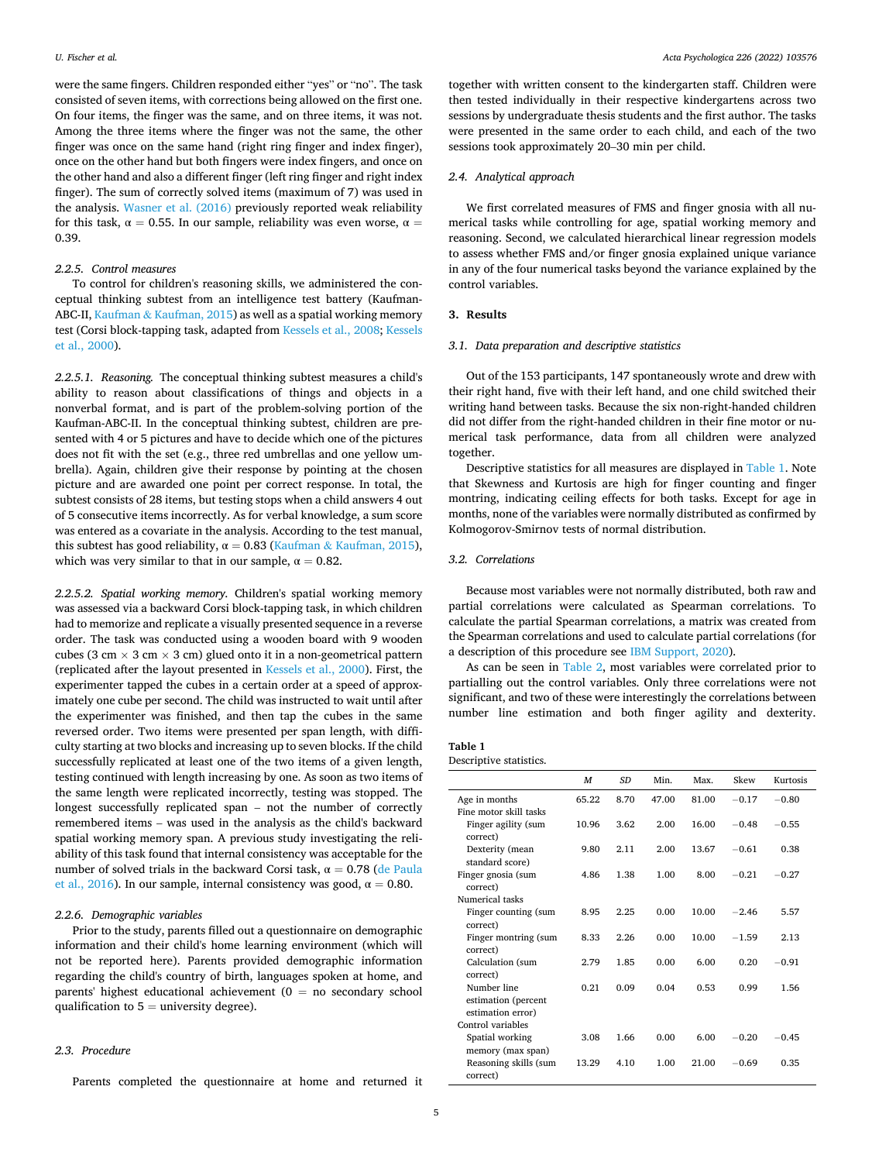were the same fingers. Children responded either "yes" or "no". The task consisted of seven items, with corrections being allowed on the first one. On four items, the finger was the same, and on three items, it was not. Among the three items where the finger was not the same, the other finger was once on the same hand (right ring finger and index finger), once on the other hand but both fingers were index fingers, and once on the other hand and also a different finger (left ring finger and right index finger). The sum of correctly solved items (maximum of 7) was used in the analysis. [Wasner et al. \(2016\)](#page-9-0) previously reported weak reliability for this task,  $\alpha = 0.55$ . In our sample, reliability was even worse,  $\alpha =$ 0.39.

# *2.2.5. Control measures*

To control for children's reasoning skills, we administered the conceptual thinking subtest from an intelligence test battery (Kaufman-ABC-II, Kaufman & [Kaufman, 2015](#page-8-0)) as well as a spatial working memory test (Corsi block-tapping task, adapted from [Kessels et al., 2008; Kessels](#page-8-0)  [et al., 2000\)](#page-8-0).

*2.2.5.1. Reasoning.* The conceptual thinking subtest measures a child's ability to reason about classifications of things and objects in a nonverbal format, and is part of the problem-solving portion of the Kaufman-ABC-II. In the conceptual thinking subtest, children are presented with 4 or 5 pictures and have to decide which one of the pictures does not fit with the set (e.g., three red umbrellas and one yellow umbrella). Again, children give their response by pointing at the chosen picture and are awarded one point per correct response. In total, the subtest consists of 28 items, but testing stops when a child answers 4 out of 5 consecutive items incorrectly. As for verbal knowledge, a sum score was entered as a covariate in the analysis. According to the test manual, this subtest has good reliability,  $\alpha = 0.83$  (Kaufman & [Kaufman, 2015](#page-8-0)), which was very similar to that in our sample,  $\alpha = 0.82$ .

*2.2.5.2. Spatial working memory.* Children's spatial working memory was assessed via a backward Corsi block-tapping task, in which children had to memorize and replicate a visually presented sequence in a reverse order. The task was conducted using a wooden board with 9 wooden cubes (3 cm  $\times$  3 cm  $\times$  3 cm) glued onto it in a non-geometrical pattern (replicated after the layout presented in [Kessels et al., 2000](#page-8-0)). First, the experimenter tapped the cubes in a certain order at a speed of approximately one cube per second. The child was instructed to wait until after the experimenter was finished, and then tap the cubes in the same reversed order. Two items were presented per span length, with difficulty starting at two blocks and increasing up to seven blocks. If the child successfully replicated at least one of the two items of a given length, testing continued with length increasing by one. As soon as two items of the same length were replicated incorrectly, testing was stopped. The longest successfully replicated span – not the number of correctly remembered items – was used in the analysis as the child's backward spatial working memory span. A previous study investigating the reliability of this task found that internal consistency was acceptable for the number of solved trials in the backward Corsi task,  $α = 0.78$  (de Paula [et al., 2016\)](#page-8-0). In our sample, internal consistency was good,  $\alpha = 0.80$ .

### *2.2.6. Demographic variables*

Prior to the study, parents filled out a questionnaire on demographic information and their child's home learning environment (which will not be reported here). Parents provided demographic information regarding the child's country of birth, languages spoken at home, and parents' highest educational achievement ( $0 =$  no secondary school qualification to  $5 =$  university degree).

# *2.3. Procedure*

Parents completed the questionnaire at home and returned it

together with written consent to the kindergarten staff. Children were then tested individually in their respective kindergartens across two sessions by undergraduate thesis students and the first author. The tasks were presented in the same order to each child, and each of the two sessions took approximately 20–30 min per child.

### *2.4. Analytical approach*

We first correlated measures of FMS and finger gnosia with all numerical tasks while controlling for age, spatial working memory and reasoning. Second, we calculated hierarchical linear regression models to assess whether FMS and/or finger gnosia explained unique variance in any of the four numerical tasks beyond the variance explained by the control variables.

### **3. Results**

# *3.1. Data preparation and descriptive statistics*

Out of the 153 participants, 147 spontaneously wrote and drew with their right hand, five with their left hand, and one child switched their writing hand between tasks. Because the six non-right-handed children did not differ from the right-handed children in their fine motor or numerical task performance, data from all children were analyzed together.

Descriptive statistics for all measures are displayed in Table 1. Note that Skewness and Kurtosis are high for finger counting and finger montring, indicating ceiling effects for both tasks. Except for age in months, none of the variables were normally distributed as confirmed by Kolmogorov-Smirnov tests of normal distribution.

### *3.2. Correlations*

Because most variables were not normally distributed, both raw and partial correlations were calculated as Spearman correlations. To calculate the partial Spearman correlations, a matrix was created from the Spearman correlations and used to calculate partial correlations (for a description of this procedure see [IBM Support, 2020\)](#page-8-0).

As can be seen in [Table 2,](#page-5-0) most variables were correlated prior to partialling out the control variables. Only three correlations were not significant, and two of these were interestingly the correlations between number line estimation and both finger agility and dexterity.

# **Table 1**

Descriptive statistics.

|                                                         | M     | SD   | Min.  | Max.  | Skew    | Kurtosis |
|---------------------------------------------------------|-------|------|-------|-------|---------|----------|
| Age in months                                           | 65.22 | 8.70 | 47.00 | 81.00 | $-0.17$ | $-0.80$  |
| Fine motor skill tasks                                  |       |      |       |       |         |          |
| Finger agility (sum<br>correct)                         | 10.96 | 3.62 | 2.00  | 16.00 | $-0.48$ | $-0.55$  |
| Dexterity (mean<br>standard score)                      | 9.80  | 2.11 | 2.00  | 13.67 | $-0.61$ | 0.38     |
| Finger gnosia (sum<br>correct)                          | 4.86  | 1.38 | 1.00  | 8.00  | $-0.21$ | $-0.27$  |
| Numerical tasks                                         |       |      |       |       |         |          |
| Finger counting (sum<br>correct)                        | 8.95  | 2.25 | 0.00  | 10.00 | $-2.46$ | 5.57     |
| Finger montring (sum<br>correct)                        | 8.33  | 2.26 | 0.00  | 10.00 | $-1.59$ | 2.13     |
| Calculation (sum<br>correct)                            | 2.79  | 1.85 | 0.00  | 6.00  | 0.20    | $-0.91$  |
| Number line<br>estimation (percent<br>estimation error) | 0.21  | 0.09 | 0.04  | 0.53  | 0.99    | 1.56     |
| Control variables                                       |       |      |       |       |         |          |
| Spatial working<br>memory (max span)                    | 3.08  | 1.66 | 0.00  | 6.00  | $-0.20$ | $-0.45$  |
| Reasoning skills (sum<br>correct)                       | 13.29 | 4.10 | 1.00  | 21.00 | $-0.69$ | 0.35     |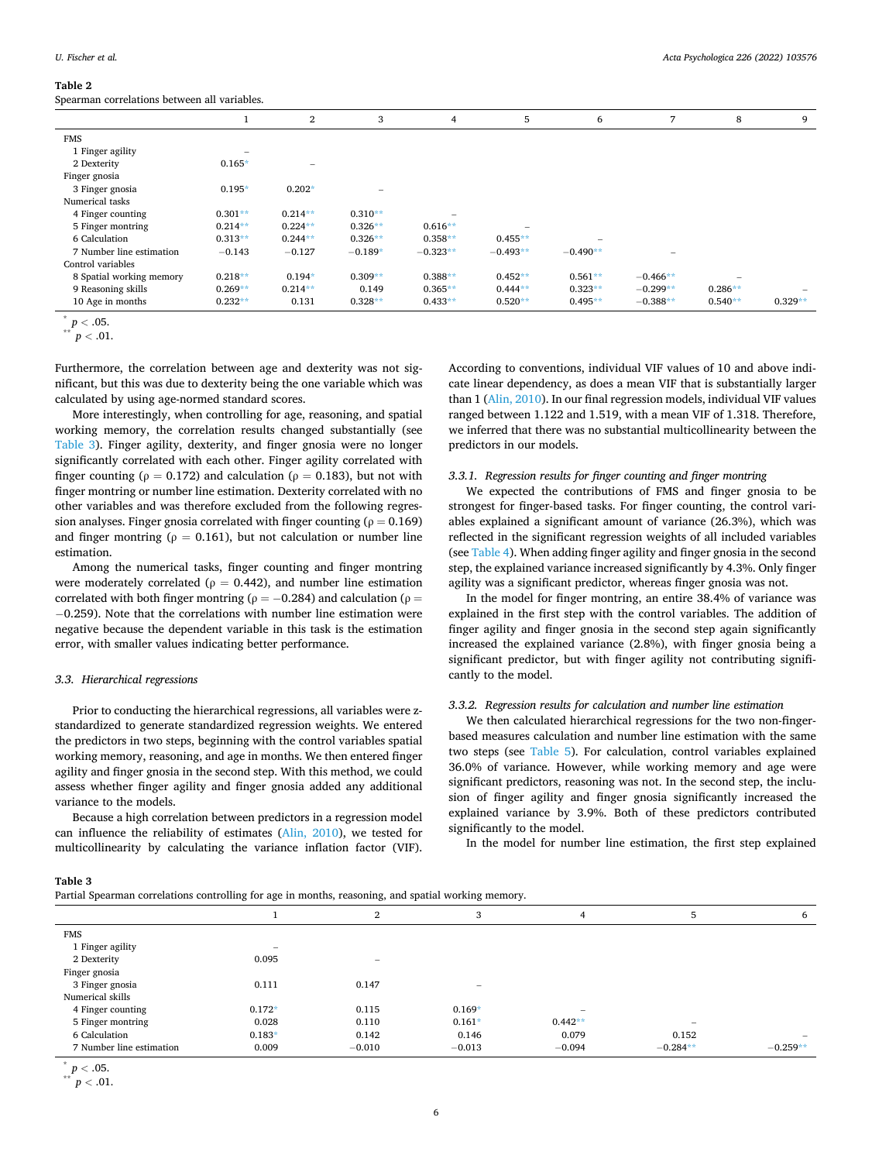### <span id="page-5-0"></span>**Table 2**

Spearman correlations between all variables.

|                          |                          | $\overline{2}$           | 3                        | 4          | 5          | 6                        | 7          | 8         | 9         |
|--------------------------|--------------------------|--------------------------|--------------------------|------------|------------|--------------------------|------------|-----------|-----------|
| <b>FMS</b>               |                          |                          |                          |            |            |                          |            |           |           |
| 1 Finger agility         | $\overline{\phantom{a}}$ |                          |                          |            |            |                          |            |           |           |
| 2 Dexterity              | $0.165*$                 | $\overline{\phantom{0}}$ |                          |            |            |                          |            |           |           |
| Finger gnosia            |                          |                          |                          |            |            |                          |            |           |           |
| 3 Finger gnosia          | $0.195*$                 | $0.202*$                 | $\overline{\phantom{0}}$ |            |            |                          |            |           |           |
| Numerical tasks          |                          |                          |                          |            |            |                          |            |           |           |
| 4 Finger counting        | $0.301**$                | $0.214**$                | $0.310**$                |            |            |                          |            |           |           |
| 5 Finger montring        | $0.214**$                | $0.224**$                | $0.326**$                | $0.616**$  |            |                          |            |           |           |
| 6 Calculation            | $0.313**$                | $0.244**$                | $0.326**$                | $0.358**$  | $0.455**$  | $\overline{\phantom{a}}$ |            |           |           |
| 7 Number line estimation | $-0.143$                 | $-0.127$                 | $-0.189*$                | $-0.323**$ | $-0.493**$ | $-0.490**$               |            |           |           |
| Control variables        |                          |                          |                          |            |            |                          |            |           |           |
| 8 Spatial working memory | $0.218**$                | $0.194*$                 | $0.309**$                | $0.388**$  | $0.452**$  | $0.561**$                | $-0.466**$ |           |           |
| 9 Reasoning skills       | $0.269**$                | $0.214**$                | 0.149                    | $0.365**$  | $0.444**$  | $0.323**$                | $-0.299**$ | $0.286**$ |           |
| 10 Age in months         | $0.232**$                | 0.131                    | $0.328**$                | $0.433**$  | $0.520**$  | $0.495**$                | $-0.388**$ | $0.540**$ | $0.329**$ |

 $\sum_{**}^{*} p < .05.$ <br> $p < .01.$ 

Furthermore, the correlation between age and dexterity was not significant, but this was due to dexterity being the one variable which was calculated by using age-normed standard scores.

More interestingly, when controlling for age, reasoning, and spatial working memory, the correlation results changed substantially (see Table 3). Finger agility, dexterity, and finger gnosia were no longer significantly correlated with each other. Finger agility correlated with finger counting ( $\rho = 0.172$ ) and calculation ( $\rho = 0.183$ ), but not with finger montring or number line estimation. Dexterity correlated with no other variables and was therefore excluded from the following regression analyses. Finger gnosia correlated with finger counting ( $\rho = 0.169$ ) and finger montring ( $\rho = 0.161$ ), but not calculation or number line estimation.

Among the numerical tasks, finger counting and finger montring were moderately correlated ( $\rho = 0.442$ ), and number line estimation correlated with both finger montring ( $\rho = -0.284$ ) and calculation ( $\rho =$ − 0.259). Note that the correlations with number line estimation were negative because the dependent variable in this task is the estimation error, with smaller values indicating better performance.

### *3.3. Hierarchical regressions*

Prior to conducting the hierarchical regressions, all variables were zstandardized to generate standardized regression weights. We entered the predictors in two steps, beginning with the control variables spatial working memory, reasoning, and age in months. We then entered finger agility and finger gnosia in the second step. With this method, we could assess whether finger agility and finger gnosia added any additional variance to the models.

Because a high correlation between predictors in a regression model can influence the reliability of estimates ([Alin, 2010](#page-7-0)), we tested for multicollinearity by calculating the variance inflation factor (VIF).

According to conventions, individual VIF values of 10 and above indicate linear dependency, as does a mean VIF that is substantially larger than 1 [\(Alin, 2010\)](#page-7-0). In our final regression models, individual VIF values ranged between 1.122 and 1.519, with a mean VIF of 1.318. Therefore, we inferred that there was no substantial multicollinearity between the predictors in our models.

# *3.3.1. Regression results for finger counting and finger montring*

We expected the contributions of FMS and finger gnosia to be strongest for finger-based tasks. For finger counting, the control variables explained a significant amount of variance (26.3%), which was reflected in the significant regression weights of all included variables (see [Table 4](#page-6-0)). When adding finger agility and finger gnosia in the second step, the explained variance increased significantly by 4.3%. Only finger agility was a significant predictor, whereas finger gnosia was not.

In the model for finger montring, an entire 38.4% of variance was explained in the first step with the control variables. The addition of finger agility and finger gnosia in the second step again significantly increased the explained variance (2.8%), with finger gnosia being a significant predictor, but with finger agility not contributing significantly to the model.

# *3.3.2. Regression results for calculation and number line estimation*

We then calculated hierarchical regressions for the two non-fingerbased measures calculation and number line estimation with the same two steps (see [Table 5](#page-6-0)). For calculation, control variables explained 36.0% of variance. However, while working memory and age were significant predictors, reasoning was not. In the second step, the inclusion of finger agility and finger gnosia significantly increased the explained variance by 3.9%. Both of these predictors contributed significantly to the model.

In the model for number line estimation, the first step explained

| ан |  |
|----|--|
|----|--|

| Partial Spearman correlations controlling for age in months, reasoning, and spatial working memory. |  |
|-----------------------------------------------------------------------------------------------------|--|
|-----------------------------------------------------------------------------------------------------|--|

|                          |                          | $\mathbf{2}$                    | 3                        | 4                        |            | 6          |
|--------------------------|--------------------------|---------------------------------|--------------------------|--------------------------|------------|------------|
| <b>FMS</b>               |                          |                                 |                          |                          |            |            |
| 1 Finger agility         | $\overline{\phantom{a}}$ |                                 |                          |                          |            |            |
| 2 Dexterity              | 0.095                    | $\hspace{0.1mm}-\hspace{0.1mm}$ |                          |                          |            |            |
| Finger gnosia            |                          |                                 |                          |                          |            |            |
| 3 Finger gnosia          | 0.111                    | 0.147                           | $\overline{\phantom{a}}$ |                          |            |            |
| Numerical skills         |                          |                                 |                          |                          |            |            |
| 4 Finger counting        | $0.172*$                 | 0.115                           | $0.169*$                 | $\overline{\phantom{a}}$ |            |            |
| 5 Finger montring        | 0.028                    | 0.110                           | $0.161*$                 | $0.442**$                | -          |            |
| 6 Calculation            | $0.183*$                 | 0.142                           | 0.146                    | 0.079                    | 0.152      |            |
| 7 Number line estimation | 0.009                    | $-0.010$                        | $-0.013$                 | $-0.094$                 | $-0.284**$ | $-0.259**$ |

 $p < .05.$ <br>\*\*  $p < .01.$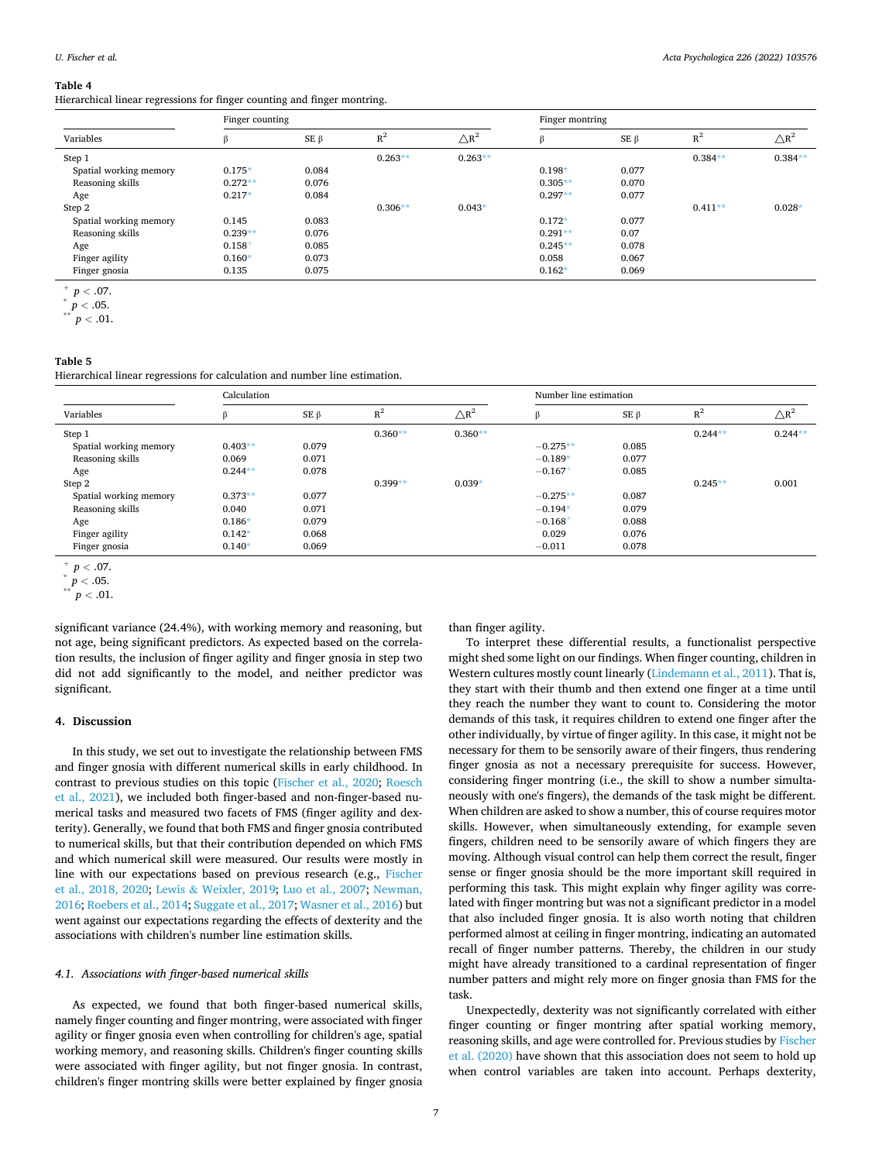### *Acta Psychologica 226 (2022) 103576*

#### <span id="page-6-0"></span>**Table 4**

Hierarchical linear regressions for finger counting and finger montring.

|                        | Finger counting |            |           |                 | Finger montring |            |           |                 |
|------------------------|-----------------|------------|-----------|-----------------|-----------------|------------|-----------|-----------------|
| Variables              | ß               | SE $\beta$ | $R^2$     | $\triangle R^2$ | ß               | $SE \beta$ | $R^2$     | $\triangle R^2$ |
| Step 1                 |                 |            | $0.263**$ | $0.263**$       |                 |            | $0.384**$ | $0.384**$       |
| Spatial working memory | $0.175*$        | 0.084      |           |                 | $0.198*$        | 0.077      |           |                 |
| Reasoning skills       | $0.272**$       | 0.076      |           |                 | $0.305**$       | 0.070      |           |                 |
| Age                    | $0.217*$        | 0.084      |           |                 | $0.297**$       | 0.077      |           |                 |
| Step 2                 |                 |            | $0.306**$ | $0.043*$        |                 |            | $0.411**$ | $0.028*$        |
| Spatial working memory | 0.145           | 0.083      |           |                 | $0.172*$        | 0.077      |           |                 |
| Reasoning skills       | $0.239**$       | 0.076      |           |                 | $0.291**$       | 0.07       |           |                 |
| Age                    | 0.158           | 0.085      |           |                 | $0.245**$       | 0.078      |           |                 |
| Finger agility         | $0.160*$        | 0.073      |           |                 | 0.058           | 0.067      |           |                 |
| Finger gnosia          | 0.135           | 0.075      |           |                 | $0.162*$        | 0.069      |           |                 |

<sup>+</sup> *<sup>p</sup><sup>&</sup>lt;* .07. \* *<sup>p</sup><sup>&</sup>lt;* .05. \*\* *<sup>p</sup><sup>&</sup>lt;* .01.

## **Table 5**

Hierarchical linear regressions for calculation and number line estimation.

|                        | Calculation |            |           |                 | Number line estimation |            |           |                 |
|------------------------|-------------|------------|-----------|-----------------|------------------------|------------|-----------|-----------------|
| Variables              | в           | SE $\beta$ | $R^2$     | $\triangle R^2$ |                        | $SE \beta$ | $R^2$     | $\triangle R^2$ |
| Step 1                 |             |            | $0.360**$ | $0.360**$       |                        |            | $0.244**$ | $0.244**$       |
| Spatial working memory | $0.403**$   | 0.079      |           |                 | $-0.275**$             | 0.085      |           |                 |
| Reasoning skills       | 0.069       | 0.071      |           |                 | $-0.189*$              | 0.077      |           |                 |
| Age                    | $0.244**$   | 0.078      |           |                 | $-0.167$               | 0.085      |           |                 |
| Step 2                 |             |            | $0.399**$ | $0.039*$        |                        |            | $0.245**$ | 0.001           |
| Spatial working memory | $0.373**$   | 0.077      |           |                 | $-0.275**$             | 0.087      |           |                 |
| Reasoning skills       | 0.040       | 0.071      |           |                 | $-0.194*$              | 0.079      |           |                 |
| Age                    | $0.186*$    | 0.079      |           |                 | $-0.168$ <sup>+</sup>  | 0.088      |           |                 |
| Finger agility         | $0.142*$    | 0.068      |           |                 | 0.029                  | 0.076      |           |                 |
| Finger gnosia          | $0.140*$    | 0.069      |           |                 | $-0.011$               | 0.078      |           |                 |

 $p < .07.$ <br>\*  $p < .05.$ <br>\*\*  $p < .01.$ 

significant variance (24.4%), with working memory and reasoning, but not age, being significant predictors. As expected based on the correlation results, the inclusion of finger agility and finger gnosia in step two did not add significantly to the model, and neither predictor was significant.

# **4. Discussion**

In this study, we set out to investigate the relationship between FMS and finger gnosia with different numerical skills in early childhood. In contrast to previous studies on this topic ([Fischer et al., 2020;](#page-8-0) [Roesch](#page-8-0)  [et al., 2021\)](#page-8-0), we included both finger-based and non-finger-based numerical tasks and measured two facets of FMS (finger agility and dexterity). Generally, we found that both FMS and finger gnosia contributed to numerical skills, but that their contribution depended on which FMS and which numerical skill were measured. Our results were mostly in line with our expectations based on previous research (e.g., [Fischer](#page-8-0)  [et al., 2018, 2020;](#page-8-0) Lewis & [Weixler, 2019](#page-8-0); [Luo et al., 2007](#page-8-0); [Newman,](#page-8-0)  [2016; Roebers et al., 2014](#page-8-0); [Suggate et al., 2017](#page-9-0); [Wasner et al., 2016](#page-9-0)) but went against our expectations regarding the effects of dexterity and the associations with children's number line estimation skills.

### *4.1. Associations with finger-based numerical skills*

As expected, we found that both finger-based numerical skills, namely finger counting and finger montring, were associated with finger agility or finger gnosia even when controlling for children's age, spatial working memory, and reasoning skills. Children's finger counting skills were associated with finger agility, but not finger gnosia. In contrast, children's finger montring skills were better explained by finger gnosia

than finger agility.

To interpret these differential results, a functionalist perspective might shed some light on our findings. When finger counting, children in Western cultures mostly count linearly [\(Lindemann et al., 2011](#page-8-0)). That is, they start with their thumb and then extend one finger at a time until they reach the number they want to count to. Considering the motor demands of this task, it requires children to extend one finger after the other individually, by virtue of finger agility. In this case, it might not be necessary for them to be sensorily aware of their fingers, thus rendering finger gnosia as not a necessary prerequisite for success. However, considering finger montring (i.e., the skill to show a number simultaneously with one's fingers), the demands of the task might be different. When children are asked to show a number, this of course requires motor skills. However, when simultaneously extending, for example seven fingers, children need to be sensorily aware of which fingers they are moving. Although visual control can help them correct the result, finger sense or finger gnosia should be the more important skill required in performing this task. This might explain why finger agility was correlated with finger montring but was not a significant predictor in a model that also included finger gnosia. It is also worth noting that children performed almost at ceiling in finger montring, indicating an automated recall of finger number patterns. Thereby, the children in our study might have already transitioned to a cardinal representation of finger number patters and might rely more on finger gnosia than FMS for the task.

Unexpectedly, dexterity was not significantly correlated with either finger counting or finger montring after spatial working memory, reasoning skills, and age were controlled for. Previous studies by [Fischer](#page-8-0)  [et al. \(2020\)](#page-8-0) have shown that this association does not seem to hold up when control variables are taken into account. Perhaps dexterity,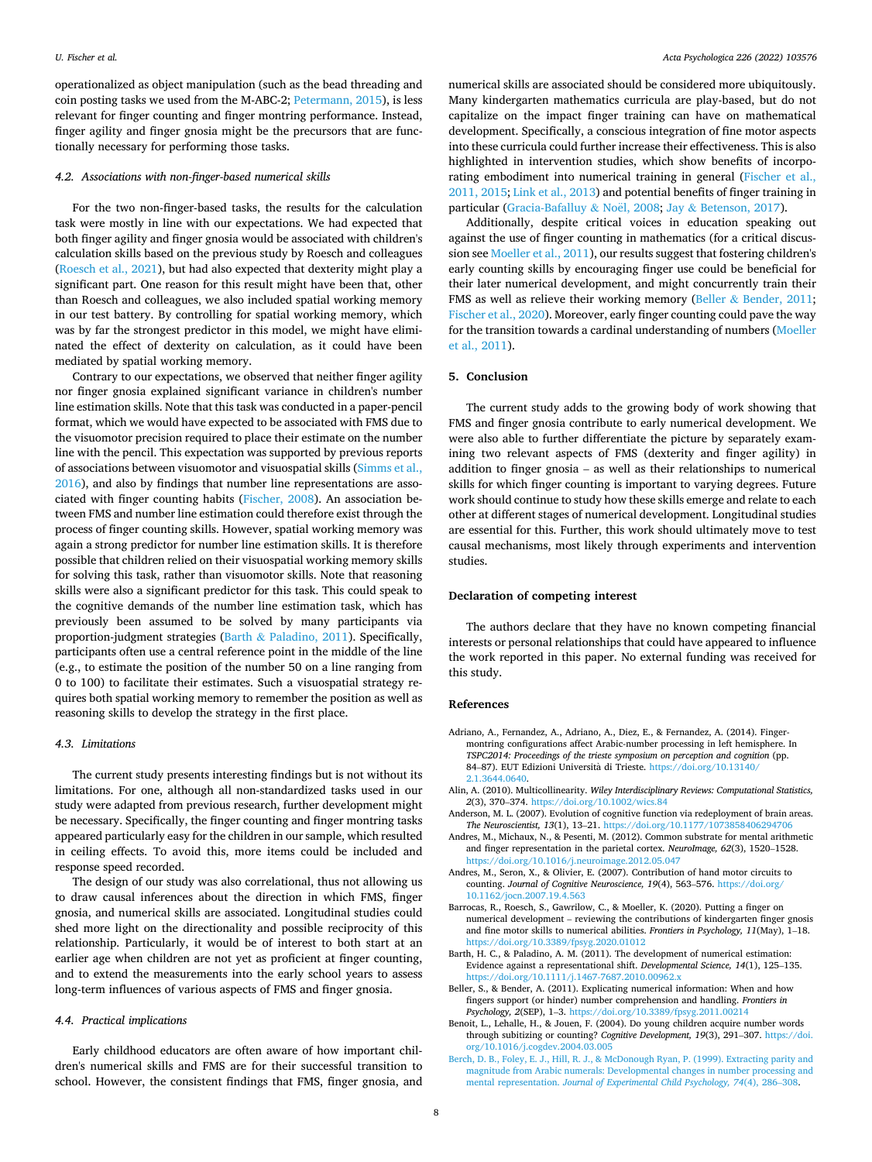<span id="page-7-0"></span>operationalized as object manipulation (such as the bead threading and coin posting tasks we used from the M-ABC-2; [Petermann, 2015](#page-8-0)), is less relevant for finger counting and finger montring performance. Instead, finger agility and finger gnosia might be the precursors that are functionally necessary for performing those tasks.

### *4.2. Associations with non-finger-based numerical skills*

For the two non-finger-based tasks, the results for the calculation task were mostly in line with our expectations. We had expected that both finger agility and finger gnosia would be associated with children's calculation skills based on the previous study by Roesch and colleagues ([Roesch et al., 2021\)](#page-8-0), but had also expected that dexterity might play a significant part. One reason for this result might have been that, other than Roesch and colleagues, we also included spatial working memory in our test battery. By controlling for spatial working memory, which was by far the strongest predictor in this model, we might have eliminated the effect of dexterity on calculation, as it could have been mediated by spatial working memory.

Contrary to our expectations, we observed that neither finger agility nor finger gnosia explained significant variance in children's number line estimation skills. Note that this task was conducted in a paper-pencil format, which we would have expected to be associated with FMS due to the visuomotor precision required to place their estimate on the number line with the pencil. This expectation was supported by previous reports of associations between visuomotor and visuospatial skills [\(Simms et al.,](#page-9-0)  [2016\)](#page-9-0), and also by findings that number line representations are associated with finger counting habits [\(Fischer, 2008\)](#page-8-0). An association between FMS and number line estimation could therefore exist through the process of finger counting skills. However, spatial working memory was again a strong predictor for number line estimation skills. It is therefore possible that children relied on their visuospatial working memory skills for solving this task, rather than visuomotor skills. Note that reasoning skills were also a significant predictor for this task. This could speak to the cognitive demands of the number line estimation task, which has previously been assumed to be solved by many participants via proportion-judgment strategies (Barth & Paladino, 2011). Specifically, participants often use a central reference point in the middle of the line (e.g., to estimate the position of the number 50 on a line ranging from 0 to 100) to facilitate their estimates. Such a visuospatial strategy requires both spatial working memory to remember the position as well as reasoning skills to develop the strategy in the first place.

### *4.3. Limitations*

The current study presents interesting findings but is not without its limitations. For one, although all non-standardized tasks used in our study were adapted from previous research, further development might be necessary. Specifically, the finger counting and finger montring tasks appeared particularly easy for the children in our sample, which resulted in ceiling effects. To avoid this, more items could be included and response speed recorded.

The design of our study was also correlational, thus not allowing us to draw causal inferences about the direction in which FMS, finger gnosia, and numerical skills are associated. Longitudinal studies could shed more light on the directionality and possible reciprocity of this relationship. Particularly, it would be of interest to both start at an earlier age when children are not yet as proficient at finger counting, and to extend the measurements into the early school years to assess long-term influences of various aspects of FMS and finger gnosia.

# *4.4. Practical implications*

Early childhood educators are often aware of how important children's numerical skills and FMS are for their successful transition to school. However, the consistent findings that FMS, finger gnosia, and numerical skills are associated should be considered more ubiquitously. Many kindergarten mathematics curricula are play-based, but do not capitalize on the impact finger training can have on mathematical development. Specifically, a conscious integration of fine motor aspects into these curricula could further increase their effectiveness. This is also highlighted in intervention studies, which show benefits of incorporating embodiment into numerical training in general [\(Fischer et al.,](#page-8-0)  [2011, 2015; Link et al., 2013](#page-8-0)) and potential benefits of finger training in particular ([Gracia-Bafalluy](#page-8-0) & Noël, 2008; Jay & [Betenson, 2017](#page-8-0)).

Additionally, despite critical voices in education speaking out against the use of finger counting in mathematics (for a critical discussion see [Moeller et al., 2011\)](#page-8-0), our results suggest that fostering children's early counting skills by encouraging finger use could be beneficial for their later numerical development, and might concurrently train their FMS as well as relieve their working memory (Beller & Bender, 2011; [Fischer et al., 2020](#page-8-0)). Moreover, early finger counting could pave the way for the transition towards a cardinal understanding of numbers ([Moeller](#page-8-0)  [et al., 2011\)](#page-8-0).

# **5. Conclusion**

The current study adds to the growing body of work showing that FMS and finger gnosia contribute to early numerical development. We were also able to further differentiate the picture by separately examining two relevant aspects of FMS (dexterity and finger agility) in addition to finger gnosia – as well as their relationships to numerical skills for which finger counting is important to varying degrees. Future work should continue to study how these skills emerge and relate to each other at different stages of numerical development. Longitudinal studies are essential for this. Further, this work should ultimately move to test causal mechanisms, most likely through experiments and intervention studies.

### **Declaration of competing interest**

The authors declare that they have no known competing financial interests or personal relationships that could have appeared to influence the work reported in this paper. No external funding was received for this study.

### **References**

- Adriano, A., Fernandez, A., Adriano, A., Diez, E., & Fernandez, A. (2014). Fingermontring configurations affect Arabic-number processing in left hemisphere. In *TSPC2014: Proceedings of the trieste symposium on perception and cognition* (pp. 84–87). EUT Edizioni Università di Trieste. [https://doi.org/10.13140/](https://doi.org/10.13140/2.1.3644.0640) [2.1.3644.0640.](https://doi.org/10.13140/2.1.3644.0640)
- Alin, A. (2010). Multicollinearity. *Wiley Interdisciplinary Reviews: Computational Statistics, 2*(3), 370–374. <https://doi.org/10.1002/wics.84>
- Anderson, M. L. (2007). Evolution of cognitive function via redeployment of brain areas. *The Neuroscientist, 13*(1), 13–21.<https://doi.org/10.1177/1073858406294706>
- Andres, M., Michaux, N., & Pesenti, M. (2012). Common substrate for mental arithmetic and finger representation in the parietal cortex. *NeuroImage, 62*(3), 1520–1528. <https://doi.org/10.1016/j.neuroimage.2012.05.047>
- Andres, M., Seron, X., & Olivier, E. (2007). Contribution of hand motor circuits to counting. *Journal of Cognitive Neuroscience, 19*(4), 563–576. [https://doi.org/](https://doi.org/10.1162/jocn.2007.19.4.563)  [10.1162/jocn.2007.19.4.563](https://doi.org/10.1162/jocn.2007.19.4.563)
- Barrocas, R., Roesch, S., Gawrilow, C., & Moeller, K. (2020). Putting a finger on numerical development – reviewing the contributions of kindergarten finger gnosis and fine motor skills to numerical abilities. *Frontiers in Psychology, 11*(May), 1–18. <https://doi.org/10.3389/fpsyg.2020.01012>
- Barth, H. C., & Paladino, A. M. (2011). The development of numerical estimation: Evidence against a representational shift. *Developmental Science, 14*(1), 125–135. https://doi.org/10.1111/j.1467-7687.2010.00962.
- Beller, S., & Bender, A. (2011). Explicating numerical information: When and how fingers support (or hinder) number comprehension and handling. *Frontiers in Psychology, 2*(SEP), 1–3. <https://doi.org/10.3389/fpsyg.2011.00214>
- Benoit, L., Lehalle, H., & Jouen, F. (2004). Do young children acquire number words through subitizing or counting? *Cognitive Development, 19*(3), 291–307. [https://doi.](https://doi.org/10.1016/j.cogdev.2004.03.005)  [org/10.1016/j.cogdev.2004.03.005](https://doi.org/10.1016/j.cogdev.2004.03.005)
- [Berch, D. B., Foley, E. J., Hill, R. J., & McDonough Ryan, P. \(1999\). Extracting parity and](http://refhub.elsevier.com/S0001-6918(22)00091-9/rf202203250836239740)  [magnitude from Arabic numerals: Developmental changes in number processing and](http://refhub.elsevier.com/S0001-6918(22)00091-9/rf202203250836239740)  mental representation. *[Journal of Experimental Child Psychology, 74](http://refhub.elsevier.com/S0001-6918(22)00091-9/rf202203250836239740)*(4), 286–308.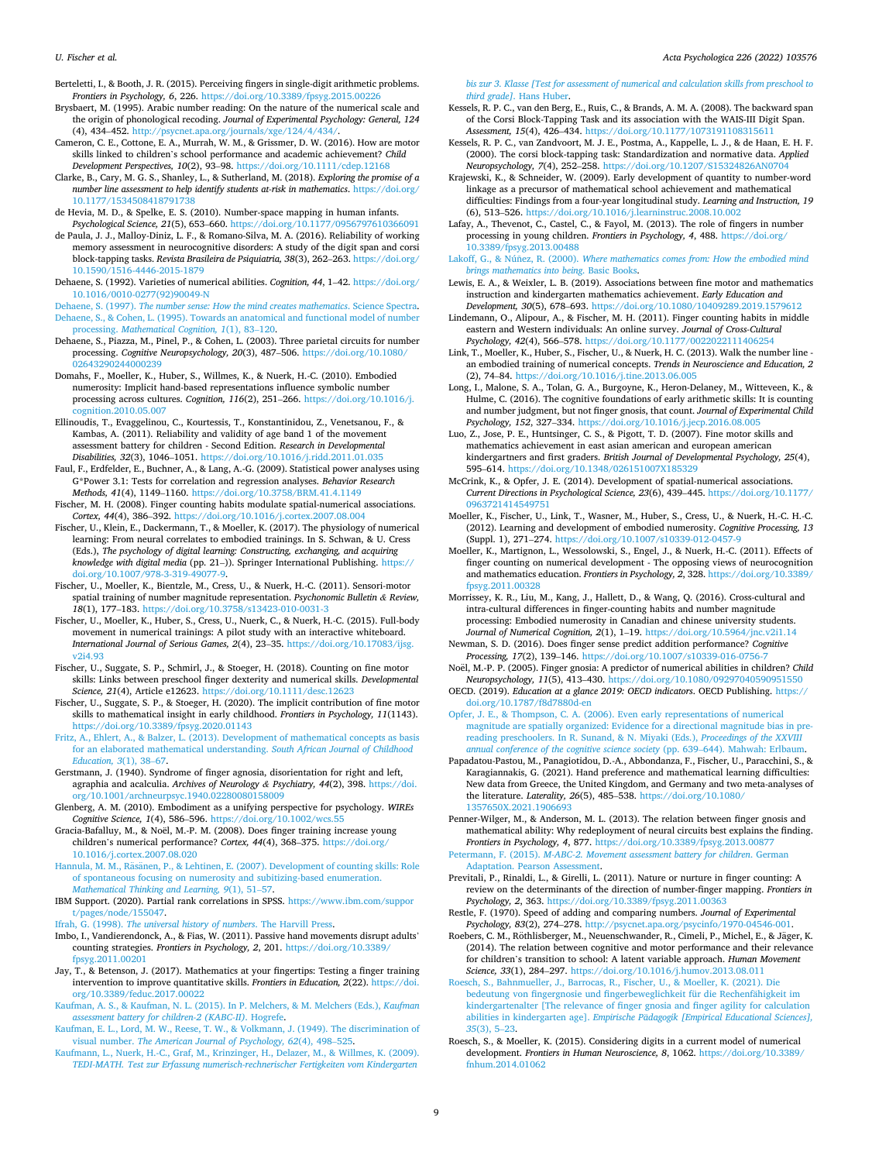<span id="page-8-0"></span>Berteletti, I., & Booth, J. R. (2015). Perceiving fingers in single-digit arithmetic problems. *Frontiers in Psychology, 6*, 226. <https://doi.org/10.3389/fpsyg.2015.00226>

- Brysbaert, M. (1995). Arabic number reading: On the nature of the numerical scale and the origin of phonological recoding. *Journal of Experimental Psychology: General, 124*  (4), 434–452. [http://psycnet.apa.org/journals/xge/124/4/434/.](http://psycnet.apa.org/journals/xge/124/4/434/)
- Cameron, C. E., Cottone, E. A., Murrah, W. M., & Grissmer, D. W. (2016). How are motor skills linked to children's school performance and academic achievement? *Child Development Perspectives, 10*(2), 93–98. <https://doi.org/10.1111/cdep.12168>
- Clarke, B., Cary, M. G. S., Shanley, L., & Sutherland, M. (2018). *Exploring the promise of a number line assessment to help identify students at-risk in mathematics*. [https://doi.org/](https://doi.org/10.1177/1534508418791738)  10.1177/153450841879173

de Hevia, M. D., & Spelke, E. S. (2010). Number-space mapping in human infants. *Psychological Science, 21*(5), 653–660.<https://doi.org/10.1177/0956797610366091>

de Paula, J. J., Malloy-Diniz, L. F., & Romano-Silva, M. A. (2016). Reliability of working memory assessment in neurocognitive disorders: A study of the digit span and corsi block-tapping tasks. *Revista Brasileira de Psiquiatria, 38*(3), 262–263. [https://doi.org/](https://doi.org/10.1590/1516-4446-2015-1879)  [10.1590/1516-4446-2015-1879](https://doi.org/10.1590/1516-4446-2015-1879) 

Dehaene, S. (1992). Varieties of numerical abilities. *Cognition, 44*, 1–42. [https://doi.org/](https://doi.org/10.1016/0010-0277(92)90049-N)  [10.1016/0010-0277\(92\)90049-N](https://doi.org/10.1016/0010-0277(92)90049-N)

Dehaene, S. (1997). *[The number sense: How the mind creates mathematics](http://refhub.elsevier.com/S0001-6918(22)00091-9/rf202203250837156764)*. Science Spectra. [Dehaene, S., & Cohen, L. \(1995\). Towards an anatomical and functional model of number](http://refhub.elsevier.com/S0001-6918(22)00091-9/rf202203250837172765)  processing. *[Mathematical Cognition, 1](http://refhub.elsevier.com/S0001-6918(22)00091-9/rf202203250837172765)*(1), 83–120.

- Dehaene, S., Piazza, M., Pinel, P., & Cohen, L. (2003). Three parietal circuits for number processing. *Cognitive Neuropsychology, 20*(3), 487–506. [https://doi.org/10.1080/](https://doi.org/10.1080/02643290244000239)  [02643290244000239](https://doi.org/10.1080/02643290244000239)
- Domahs, F., Moeller, K., Huber, S., Willmes, K., & Nuerk, H.-C. (2010). Embodied numerosity: Implicit hand-based representations influence symbolic number processing across cultures. *Cognition, 116*(2), 251–266. [https://doi.org/10.1016/j.](https://doi.org/10.1016/j.cognition.2010.05.007) [cognition.2010.05.007](https://doi.org/10.1016/j.cognition.2010.05.007)
- Ellinoudis, T., Evaggelinou, C., Kourtessis, T., Konstantinidou, Z., Venetsanou, F., & Kambas, A. (2011). Reliability and validity of age band 1 of the movement assessment battery for children - Second Edition. *Research in Developmental Disabilities, 32*(3), 1046–1051.<https://doi.org/10.1016/j.ridd.2011.01.035>

Faul, F., Erdfelder, E., Buchner, A., & Lang, A.-G. (2009). Statistical power analyses using G\*Power 3.1: Tests for correlation and regression analyses. *Behavior Research Methods, 41*(4), 1149–1160. <https://doi.org/10.3758/BRM.41.4.1149>

- Fischer, M. H. (2008). Finger counting habits modulate spatial-numerical associations. *Cortex, 44*(4), 386–392. <https://doi.org/10.1016/j.cortex.2007.08.004>
- Fischer, U., Klein, E., Dackermann, T., & Moeller, K. (2017). The physiology of numerical learning: From neural correlates to embodied trainings. In S. Schwan, & U. Cress (Eds.), *The psychology of digital learning: Constructing, exchanging, and acquiring knowledge with digital media* (pp. 21–)). Springer International Publishing. [https://](https://doi.org/10.1007/978-3-319-49077-9)  [doi.org/10.1007/978-3-319-49077-9](https://doi.org/10.1007/978-3-319-49077-9).
- Fischer, U., Moeller, K., Bientzle, M., Cress, U., & Nuerk, H.-C. (2011). Sensori-motor spatial training of number magnitude representation. *Psychonomic Bulletin & Review, 18*(1), 177–183. <https://doi.org/10.3758/s13423-010-0031-3>
- Fischer, U., Moeller, K., Huber, S., Cress, U., Nuerk, C., & Nuerk, H.-C. (2015). Full-body movement in numerical trainings: A pilot study with an interactive whiteboard. *International Journal of Serious Games, 2*(4), 23–35. [https://doi.org/10.17083/ijsg.](https://doi.org/10.17083/ijsg.v2i4.93) [v2i4.93](https://doi.org/10.17083/ijsg.v2i4.93)

Fischer, U., Suggate, S. P., Schmirl, J., & Stoeger, H. (2018). Counting on fine motor skills: Links between preschool finger dexterity and numerical skills. *Developmental Science, 21*(4), Article e12623.<https://doi.org/10.1111/desc.12623>

- Fischer, U., Suggate, S. P., & Stoeger, H. (2020). The implicit contribution of fine motor skills to mathematical insight in early childhood. *Frontiers in Psychology, 11*(1143). <https://doi.org/10.3389/fpsyg.2020.01143>
- [Fritz, A., Ehlert, A., & Balzer, L. \(2013\). Development of mathematical concepts as basis](http://refhub.elsevier.com/S0001-6918(22)00091-9/rf202203250839134121)  [for an elaborated mathematical understanding.](http://refhub.elsevier.com/S0001-6918(22)00091-9/rf202203250839134121) *South African Journal of Childhood [Education, 3](http://refhub.elsevier.com/S0001-6918(22)00091-9/rf202203250839134121)*(1), 38–67.
- Gerstmann, J. (1940). Syndrome of finger agnosia, disorientation for right and left, agraphia and acalculia. *Archives of Neurology & Psychiatry, 44*(2), 398. [https://doi.](https://doi.org/10.1001/archneurpsyc.1940.02280080158009) [org/10.1001/archneurpsyc.1940.02280080158009](https://doi.org/10.1001/archneurpsyc.1940.02280080158009)

Glenberg, A. M. (2010). Embodiment as a unifying perspective for psychology. *WIREs Cognitive Science, 1*(4), 586–596. <https://doi.org/10.1002/wcs.55>

Gracia-Bafalluy, M., & Noël, M.-P. M. (2008). Does finger training increase young children's numerical performance? *Cortex, 44*(4), 368–375. [https://doi.org/](https://doi.org/10.1016/j.cortex.2007.08.020)  [10.1016/j.cortex.2007.08.020](https://doi.org/10.1016/j.cortex.2007.08.020) 

Hannula, M. M., Räsänen, P., & Lehtinen, E. (2007). Development of counting skills: Role [of spontaneous focusing on numerosity and subitizing-based enumeration.](http://refhub.elsevier.com/S0001-6918(22)00091-9/rf202203250851086377) *[Mathematical Thinking and Learning, 9](http://refhub.elsevier.com/S0001-6918(22)00091-9/rf202203250851086377)*(1), 51–57.

IBM Support. (2020). Partial rank correlations in SPSS. [https://www.ibm.com/suppor](https://www.ibm.com/support/pages/node/155047)  [t/pages/node/155047](https://www.ibm.com/support/pages/node/155047).

Ifrah, G. (1998). *[The universal history of numbers](http://refhub.elsevier.com/S0001-6918(22)00091-9/rf202203250839443170)*. The Harvill Press.

- Imbo, I., Vandierendonck, A., & Fias, W. (2011). Passive hand movements disrupt adults' counting strategies. *Frontiers in Psychology, 2*, 201. [https://doi.org/10.3389/](https://doi.org/10.3389/fpsyg.2011.00201)  [fpsyg.2011.00201](https://doi.org/10.3389/fpsyg.2011.00201)
- Jay, T., & Betenson, J. (2017). Mathematics at your fingertips: Testing a finger training intervention to improve quantitative skills. *Frontiers in Education, 2*(22). [https://doi.](https://doi.org/10.3389/feduc.2017.00022)  [org/10.3389/feduc.2017.00022](https://doi.org/10.3389/feduc.2017.00022)

[Kaufman, A. S., & Kaufman, N. L. \(2015\). In P. Melchers, & M. Melchers \(Eds.\),](http://refhub.elsevier.com/S0001-6918(22)00091-9/rf202203250850180250) *Kaufman [assessment battery for children-2 \(KABC-II\)](http://refhub.elsevier.com/S0001-6918(22)00091-9/rf202203250850180250)*. Hogrefe.

[Kaufman, E. L., Lord, M. W., Reese, T. W., & Volkmann, J. \(1949\). The discrimination of](http://refhub.elsevier.com/S0001-6918(22)00091-9/rf202203250854568550)  visual number. *[The American Journal of Psychology, 62](http://refhub.elsevier.com/S0001-6918(22)00091-9/rf202203250854568550)*(4), 498–525.

[Kaufmann, L., Nuerk, H.-C., Graf, M., Krinzinger, H., Delazer, M., & Willmes, K. \(2009\).](http://refhub.elsevier.com/S0001-6918(22)00091-9/rf202203250847448567)  *[TEDI-MATH. Test zur Erfassung numerisch-rechnerischer Fertigkeiten vom Kindergarten](http://refhub.elsevier.com/S0001-6918(22)00091-9/rf202203250847448567)* 

*[bis zur 3. Klasse \[Test for assessment of numerical and calculation skills from preschool to](http://refhub.elsevier.com/S0001-6918(22)00091-9/rf202203250847448567)  third grade]*[. Hans Huber](http://refhub.elsevier.com/S0001-6918(22)00091-9/rf202203250847448567).

- Kessels, R. P. C., van den Berg, E., Ruis, C., & Brands, A. M. A. (2008). The backward span of the Corsi Block-Tapping Task and its association with the WAIS-III Digit Span. *Assessment, 15*(4), 426–434. <https://doi.org/10.1177/1073191108315611>
- Kessels, R. P. C., van Zandvoort, M. J. E., Postma, A., Kappelle, L. J., & de Haan, E. H. F. (2000). The corsi block-tapping task: Standardization and normative data. *Applied Neuropsychology, 7*(4), 252–258. <https://doi.org/10.1207/S15324826AN0704>

Krajewski, K., & Schneider, W. (2009). Early development of quantity to number-word linkage as a precursor of mathematical school achievement and mathematical difficulties: Findings from a four-year longitudinal study. *Learning and Instruction, 19*  (6), 513–526.<https://doi.org/10.1016/j.learninstruc.2008.10.002>

Lafay, A., Thevenot, C., Castel, C., & Fayol, M. (2013). The role of fingers in number processing in young children. *Frontiers in Psychology, 4*, 488. [https://doi.org/](https://doi.org/10.3389/fpsyg.2013.00488) [10.3389/fpsyg.2013.00488](https://doi.org/10.3389/fpsyg.2013.00488) 

Lakoff, G., & Núñez, R. (2000). Where mathematics comes from: How the embodied mind *[brings mathematics into being](http://refhub.elsevier.com/S0001-6918(22)00091-9/rf202203250848059610)*. Basic Books.

- Lewis, E. A., & Weixler, L. B. (2019). Associations between fine motor and mathematics instruction and kindergarten mathematics achievement. *Early Education and Development, 30*(5), 678–693.<https://doi.org/10.1080/10409289.2019.1579612>
- Lindemann, O., Alipour, A., & Fischer, M. H. (2011). Finger counting habits in middle eastern and Western individuals: An online survey. *Journal of Cross-Cultural Psychology, 42*(4), 566–578. <https://doi.org/10.1177/0022022111406254>
- Link, T., Moeller, K., Huber, S., Fischer, U., & Nuerk, H. C. (2013). Walk the number line an embodied training of numerical concepts. *Trends in Neuroscience and Education, 2*  (2), 74–84.<https://doi.org/10.1016/j.tine.2013.06.005>
- Long, I., Malone, S. A., Tolan, G. A., Burgoyne, K., Heron-Delaney, M., Witteveen, K., & Hulme, C. (2016). The cognitive foundations of early arithmetic skills: It is counting and number judgment, but not finger gnosis, that count. *Journal of Experimental Child Psychology, 152*, 327–334. <https://doi.org/10.1016/j.jecp.2016.08.005>

Luo, Z., Jose, P. E., Huntsinger, C. S., & Pigott, T. D. (2007). Fine motor skills and mathematics achievement in east asian american and european american kindergartners and first graders. *British Journal of Developmental Psychology, 25*(4), 595–614. <https://doi.org/10.1348/026151007X185329>

McCrink, K., & Opfer, J. E. (2014). Development of spatial-numerical associations. *Current Directions in Psychological Science, 23*(6), 439–445. [https://doi.org/10.1177/](https://doi.org/10.1177/0963721414549751)  [0963721414549751](https://doi.org/10.1177/0963721414549751) 

- Moeller, K., Fischer, U., Link, T., Wasner, M., Huber, S., Cress, U., & Nuerk, H.-C. H.-C. (2012). Learning and development of embodied numerosity. *Cognitive Processing, 13*  (Suppl. 1), 271–274.<https://doi.org/10.1007/s10339-012-0457-9>
- Moeller, K., Martignon, L., Wessolowski, S., Engel, J., & Nuerk, H.-C. (2011). Effects of finger counting on numerical development - The opposing views of neurocognition and mathematics education. *Frontiers in Psychology, 2*, 328. [https://doi.org/10.3389/](https://doi.org/10.3389/fpsyg.2011.00328)  [fpsyg.2011.00328](https://doi.org/10.3389/fpsyg.2011.00328)

Morrissey, K. R., Liu, M., Kang, J., Hallett, D., & Wang, Q. (2016). Cross-cultural and intra-cultural differences in finger-counting habits and number magnitude processing: Embodied numerosity in Canadian and chinese university students. *Journal of Numerical Cognition, 2*(1), 1–19. <https://doi.org/10.5964/jnc.v2i1.14>

Newman, S. D. (2016). Does finger sense predict addition performance? *Cognitive Processing, 17*(2), 139–146. <https://doi.org/10.1007/s10339-016-0756-7>

Noël, M.-P. P. (2005). Finger gnosia: A predictor of numerical abilities in children? *Child Neuropsychology, 11*(5), 413–430. <https://doi.org/10.1080/09297040590951550>

OECD. (2019). *Education at a glance 2019: OECD indicators*. OECD Publishing. [https://](https://doi.org/10.1787/f8d7880d-en) [doi.org/10.1787/f8d7880d-en](https://doi.org/10.1787/f8d7880d-en)

[Opfer, J. E., & Thompson, C. A. \(2006\). Even early representations of numerical](http://refhub.elsevier.com/S0001-6918(22)00091-9/rf202203250848546824)  [magnitude are spatially organized: Evidence for a directional magnitude bias in pre](http://refhub.elsevier.com/S0001-6918(22)00091-9/rf202203250848546824)[reading preschoolers. In R. Sunand, & N. Miyaki \(Eds.\),](http://refhub.elsevier.com/S0001-6918(22)00091-9/rf202203250848546824) *Proceedings of the XXVIII [annual conference of the cognitive science society](http://refhub.elsevier.com/S0001-6918(22)00091-9/rf202203250848546824)* (pp. 639–644). Mahwah: Erlbaum.

Papadatou-Pastou, M., Panagiotidou, D.-A., Abbondanza, F., Fischer, U., Paracchini, S., & Karagiannakis, G. (2021). Hand preference and mathematical learning difficulties: New data from Greece, the United Kingdom, and Germany and two meta-analyses of the literature. *Laterality, 26*(5), 485–538. [https://doi.org/10.1080/](https://doi.org/10.1080/1357650X.2021.1906693) [1357650X.2021.1906693](https://doi.org/10.1080/1357650X.2021.1906693) 

Penner-Wilger, M., & Anderson, M. L. (2013). The relation between finger gnosis and mathematical ability: Why redeployment of neural circuits best explains the finding. *Frontiers in Psychology, 4*, 877. <https://doi.org/10.3389/fpsyg.2013.00877>

Petermann, F. (2015). *[M-ABC-2. Movement assessment battery for children](http://refhub.elsevier.com/S0001-6918(22)00091-9/rf202203250849234481)*. German [Adaptation. Pearson Assessment.](http://refhub.elsevier.com/S0001-6918(22)00091-9/rf202203250849234481)

Previtali, P., Rinaldi, L., & Girelli, L. (2011). Nature or nurture in finger counting: A review on the determinants of the direction of number-finger mapping. *Frontiers in Psychology, 2*, 363. <https://doi.org/10.3389/fpsyg.2011.00363>

- Restle, F. (1970). Speed of adding and comparing numbers. *Journal of Experimental Psychology, 83*(2), 274–278. [http://psycnet.apa.org/psycinfo/1970-04546-001.](http://psycnet.apa.org/psycinfo/1970-04546-001)
- Roebers, C. M., Röthlisberger, M., Neuenschwander, R., Cimeli, P., Michel, E., & Jäger, K. (2014). The relation between cognitive and motor performance and their relevance for children's transition to school: A latent variable approach. *Human Movement Science, 33*(1), 284–297. <https://doi.org/10.1016/j.humov.2013.08.011>
- [Roesch, S., Bahnmueller, J., Barrocas, R., Fischer, U., & Moeller, K. \(2021\). Die](http://refhub.elsevier.com/S0001-6918(22)00091-9/rf202203250849320285) bedeutung von fingergnosie und fingerbeweglichkeit für die Rechenfähigkeit im [kindergartenalter \[The relevance of finger gnosia and finger agility for calculation](http://refhub.elsevier.com/S0001-6918(22)00091-9/rf202203250849320285) abilities in kindergarten age]. *Empirische Pädagogik [Empirical Educational Sciences]*, *35*[\(3\), 5](http://refhub.elsevier.com/S0001-6918(22)00091-9/rf202203250849320285)–23.
- Roesch, S., & Moeller, K. (2015). Considering digits in a current model of numerical development. *Frontiers in Human Neuroscience, 8*, 1062. [https://doi.org/10.3389/](https://doi.org/10.3389/fnhum.2014.01062)  [fnhum.2014.01062](https://doi.org/10.3389/fnhum.2014.01062)